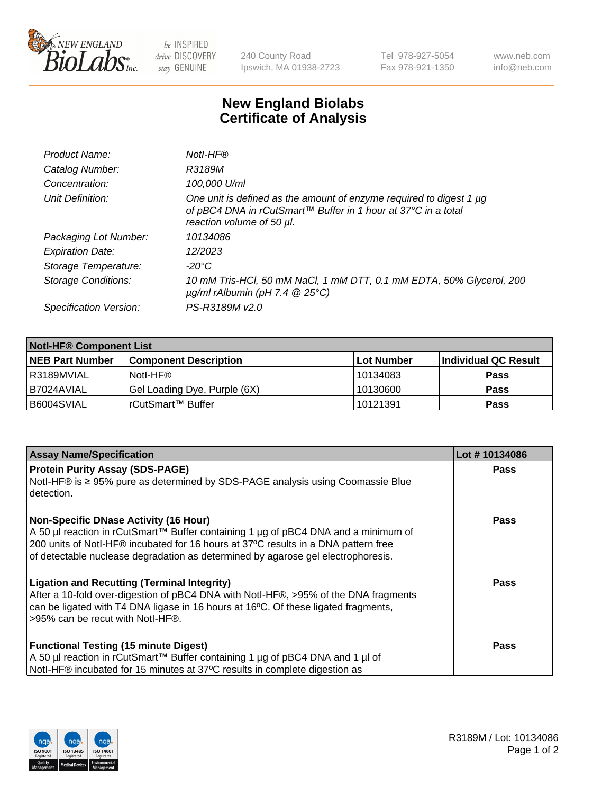

 $be$  INSPIRED drive DISCOVERY stay GENUINE

240 County Road Ipswich, MA 01938-2723 Tel 978-927-5054 Fax 978-921-1350 www.neb.com info@neb.com

## **New England Biolabs Certificate of Analysis**

| One unit is defined as the amount of enzyme required to digest 1 µg<br>of pBC4 DNA in rCutSmart™ Buffer in 1 hour at 37°C in a total |
|--------------------------------------------------------------------------------------------------------------------------------------|
|                                                                                                                                      |
|                                                                                                                                      |
|                                                                                                                                      |
| 10 mM Tris-HCl, 50 mM NaCl, 1 mM DTT, 0.1 mM EDTA, 50% Glycerol, 200                                                                 |
|                                                                                                                                      |
|                                                                                                                                      |

| <b>Notl-HF® Component List</b> |                              |            |                      |  |  |
|--------------------------------|------------------------------|------------|----------------------|--|--|
| <b>NEB Part Number</b>         | <b>Component Description</b> | Lot Number | Individual QC Result |  |  |
| R3189MVIAL                     | Notl-HF®                     | 10134083   | <b>Pass</b>          |  |  |
| B7024AVIAL                     | Gel Loading Dye, Purple (6X) | 10130600   | <b>Pass</b>          |  |  |
| B6004SVIAL                     | rCutSmart™ Buffer            | 10121391   | <b>Pass</b>          |  |  |

| <b>Assay Name/Specification</b>                                                                                                                                                                                                                              | Lot #10134086 |
|--------------------------------------------------------------------------------------------------------------------------------------------------------------------------------------------------------------------------------------------------------------|---------------|
| <b>Protein Purity Assay (SDS-PAGE)</b>                                                                                                                                                                                                                       | Pass          |
| Notl-HF® is ≥ 95% pure as determined by SDS-PAGE analysis using Coomassie Blue<br>detection.                                                                                                                                                                 |               |
| <b>Non-Specific DNase Activity (16 Hour)</b>                                                                                                                                                                                                                 | Pass          |
| A 50 µl reaction in rCutSmart™ Buffer containing 1 µg of pBC4 DNA and a minimum of<br>200 units of Notl-HF® incubated for 16 hours at 37°C results in a DNA pattern free<br>of detectable nuclease degradation as determined by agarose gel electrophoresis. |               |
|                                                                                                                                                                                                                                                              |               |
| <b>Ligation and Recutting (Terminal Integrity)</b><br>After a 10-fold over-digestion of pBC4 DNA with Notl-HF®, >95% of the DNA fragments<br>can be ligated with T4 DNA ligase in 16 hours at 16°C. Of these ligated fragments,                              | Pass          |
| >95% can be recut with Notl-HF®.                                                                                                                                                                                                                             |               |
| <b>Functional Testing (15 minute Digest)</b>                                                                                                                                                                                                                 | Pass          |
| A 50 µl reaction in rCutSmart™ Buffer containing 1 µg of pBC4 DNA and 1 µl of                                                                                                                                                                                |               |
| Notl-HF® incubated for 15 minutes at 37°C results in complete digestion as                                                                                                                                                                                   |               |